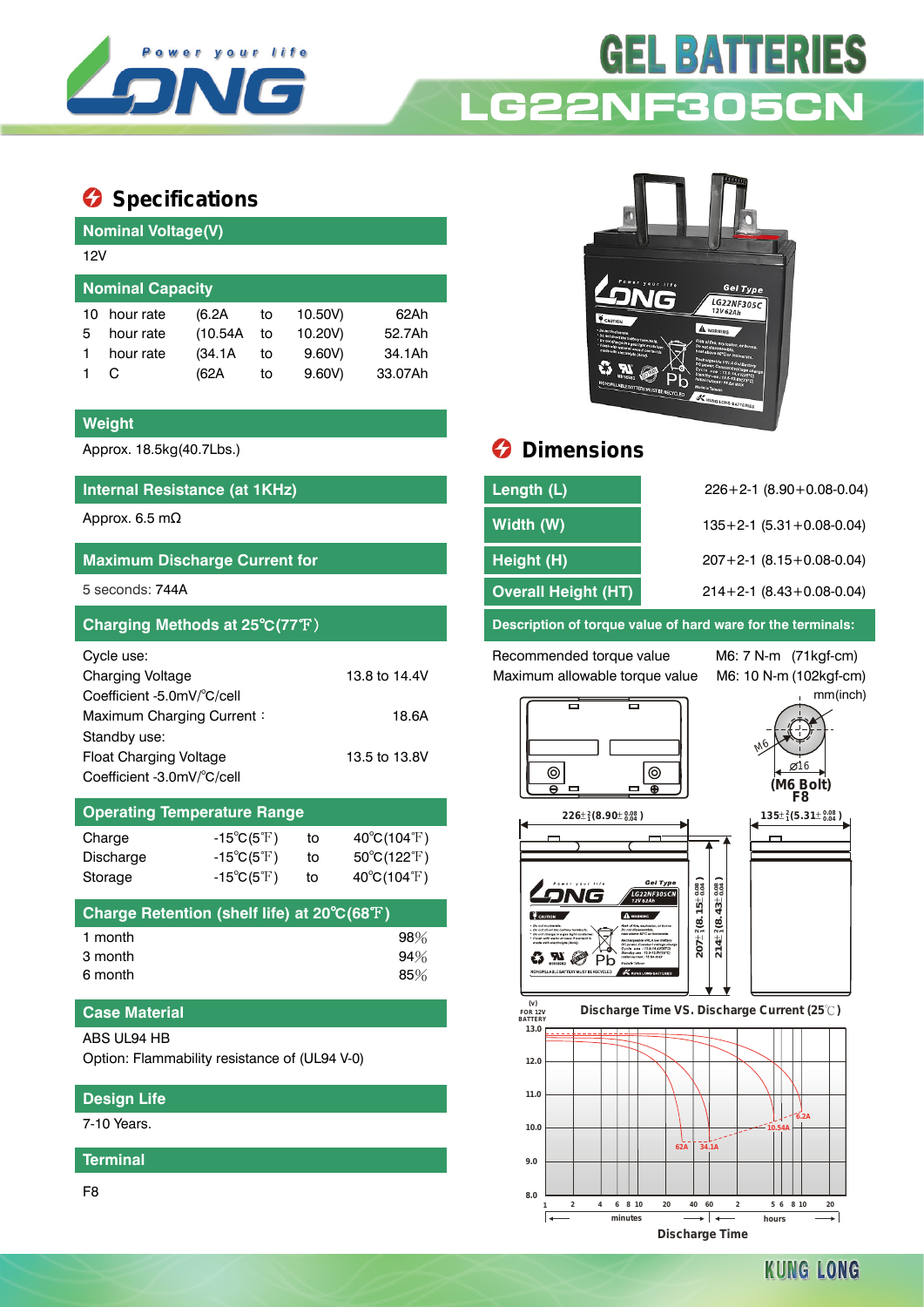

# **GEL BATTERIES LG22NF305**

# **Specifications**

|                         | <b>Nominal Voltage(V)</b> |          |    |         |         |  |  |  |
|-------------------------|---------------------------|----------|----|---------|---------|--|--|--|
|                         | 12V                       |          |    |         |         |  |  |  |
| <b>Nominal Capacity</b> |                           |          |    |         |         |  |  |  |
| 10                      | hour rate                 | (6.2A    | to | 10.50V) | 62Ah    |  |  |  |
| 5                       | hour rate                 | (10.54A) | to | 10.20V) | 52.7Ah  |  |  |  |
|                         | hour rate                 | (34.1A)  | to | 9.60V   | 34.1Ah  |  |  |  |
|                         |                           | (62A     | to | 9.60V   | 33.07Ah |  |  |  |

#### **Weight**

#### **Internal Resistance (at 1KHz)**

### **Maximum Discharge Current for**

| Cycle use:                    |               |
|-------------------------------|---------------|
| <b>Charging Voltage</b>       | 13.8 to 14.4V |
| Coefficient -5.0mV/°C/cell    |               |
| Maximum Charging Current:     | 18.6A         |
| Standby use:                  |               |
| <b>Float Charging Voltage</b> | 13.5 to 13.8V |
| Coefficient -3.0mV/°C/cell    |               |

### **Operating Temperature Range**

| Charge    | $-15^{\circ}C(5^{\circ}F)$ | to | $40^{\circ}$ C(104 $^{\circ}$ F) |
|-----------|----------------------------|----|----------------------------------|
| Discharge | $-15^{\circ}C(5^{\circ}F)$ | to | $50^{\circ}$ C(122 $^{\circ}$ F) |
| Storage   | $-15^{\circ}C(5^{\circ}F)$ | to | $40^{\circ}$ C(104 $^{\circ}$ F) |

| Charge Retention (shelf life) at 20°C(68°F) |        |
|---------------------------------------------|--------|
| 1 month                                     | $98\%$ |
| 3 month                                     | 94%    |
| 6 month                                     | 85%    |

#### **Case Material**

#### ABS UL94 HB

Option: Flammability resistance of (UL94 V-0)

#### **Design Life**

7-10 Years.

**Terminal**

F8



## Approx. 18.5kg(40.7Lbs.) **Dimensions**

| Internal Resistance (at 1KHz)        | Length (L)                 | $226+2-1$ (8.90 + 0.08-0.04)       |
|--------------------------------------|----------------------------|------------------------------------|
| Approx. 6.5 mΩ                       | Width (W)                  | $135+2-1$ (5.31 + 0.08-0.04)       |
| <b>Maximum Discharge Current for</b> | Height (H)                 | $207 + 2 - 1$ (8.15 + 0.08 - 0.04) |
| 5 seconds: 744A                      | <b>Overall Height (HT)</b> | $214+2-1$ (8.43+0.08-0.04)         |
|                                      |                            |                                    |

**Charging Methods at 25**℃**(77**℉) **Description of torque value of hard ware for the terminals:**

Recommended torque value M6: 7 N-m (71kgf-cm) Maximum allowable torque value M6: 10 N-m (102kgf-cm)

mm(inch)